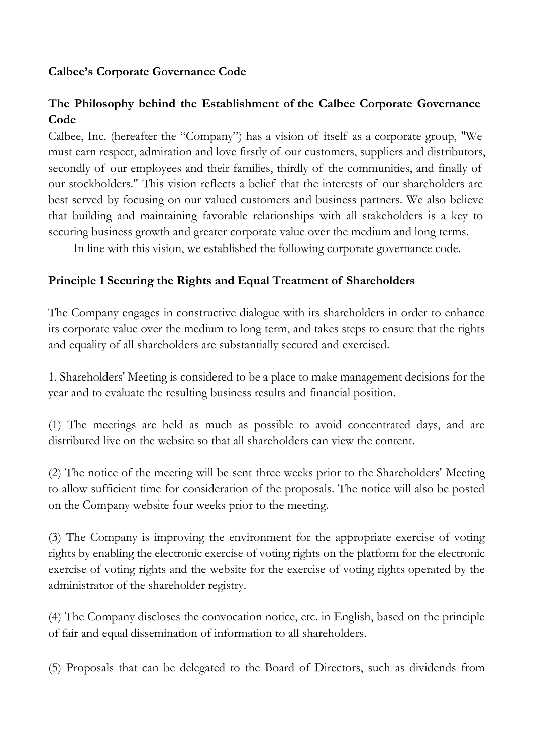## **Calbee's Corporate Governance Code**

# **The Philosophy behind the Establishment of the Calbee Corporate Governance Code**

Calbee, Inc. (hereafter the "Company") has a vision of itself as a corporate group, "We must earn respect, admiration and love firstly of our customers, suppliers and distributors, secondly of our employees and their families, thirdly of the communities, and finally of our stockholders." This vision reflects a belief that the interests of our shareholders are best served by focusing on our valued customers and business partners. We also believe that building and maintaining favorable relationships with all stakeholders is a key to securing business growth and greater corporate value over the medium and long terms.

In line with this vision, we established the following corporate governance code.

#### **Principle 1 Securing the Rights and Equal Treatment of Shareholders**

The Company engages in constructive dialogue with its shareholders in order to enhance its corporate value over the medium to long term, and takes steps to ensure that the rights and equality of all shareholders are substantially secured and exercised.

1. Shareholders' Meeting is considered to be a place to make management decisions for the year and to evaluate the resulting business results and financial position.

(1) The meetings are held as much as possible to avoid concentrated days, and are distributed live on the website so that all shareholders can view the content.

(2) The notice of the meeting will be sent three weeks prior to the Shareholders' Meeting to allow sufficient time for consideration of the proposals. The notice will also be posted on the Company website four weeks prior to the meeting.

(3) The Company is improving the environment for the appropriate exercise of voting rights by enabling the electronic exercise of voting rights on the platform for the electronic exercise of voting rights and the website for the exercise of voting rights operated by the administrator of the shareholder registry.

(4) The Company discloses the convocation notice, etc. in English, based on the principle of fair and equal dissemination of information to all shareholders.

(5) Proposals that can be delegated to the Board of Directors, such as dividends from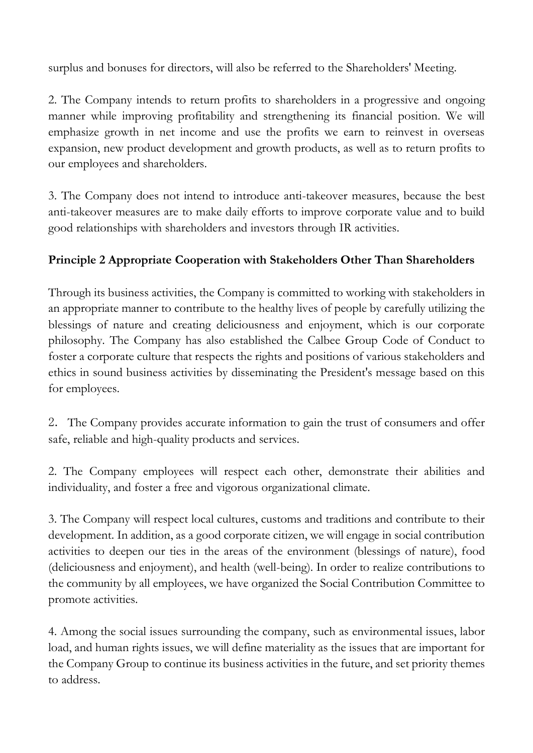surplus and bonuses for directors, will also be referred to the Shareholders' Meeting.

2. The Company intends to return profits to shareholders in a progressive and ongoing manner while improving profitability and strengthening its financial position. We will emphasize growth in net income and use the profits we earn to reinvest in overseas expansion, new product development and growth products, as well as to return profits to our employees and shareholders.

3. The Company does not intend to introduce anti-takeover measures, because the best anti-takeover measures are to make daily efforts to improve corporate value and to build good relationships with shareholders and investors through IR activities.

# **Principle 2 Appropriate Cooperation with Stakeholders Other Than Shareholders**

Through its business activities, the Company is committed to working with stakeholders in an appropriate manner to contribute to the healthy lives of people by carefully utilizing the blessings of nature and creating deliciousness and enjoyment, which is our corporate philosophy. The Company has also established the Calbee Group Code of Conduct to foster a corporate culture that respects the rights and positions of various stakeholders and ethics in sound business activities by disseminating the President's message based on this for employees.

2. The Company provides accurate information to gain the trust of consumers and offer safe, reliable and high-quality products and services.

2. The Company employees will respect each other, demonstrate their abilities and individuality, and foster a free and vigorous organizational climate.

3. The Company will respect local cultures, customs and traditions and contribute to their development. In addition, as a good corporate citizen, we will engage in social contribution activities to deepen our ties in the areas of the environment (blessings of nature), food (deliciousness and enjoyment), and health (well-being). In order to realize contributions to the community by all employees, we have organized the Social Contribution Committee to promote activities.

4. Among the social issues surrounding the company, such as environmental issues, labor load, and human rights issues, we will define materiality as the issues that are important for the Company Group to continue its business activities in the future, and set priority themes to address.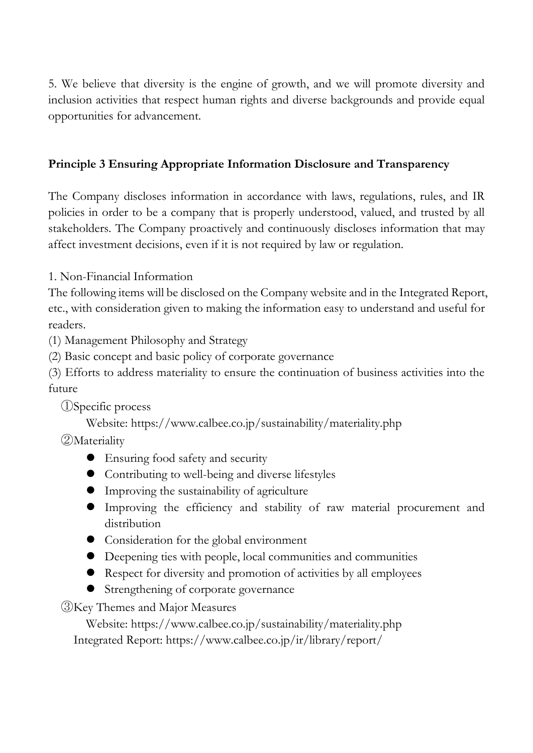5. We believe that diversity is the engine of growth, and we will promote diversity and inclusion activities that respect human rights and diverse backgrounds and provide equal opportunities for advancement.

#### **Principle 3 Ensuring Appropriate Information Disclosure and Transparency**

The Company discloses information in accordance with laws, regulations, rules, and IR policies in order to be a company that is properly understood, valued, and trusted by all stakeholders. The Company proactively and continuously discloses information that may affect investment decisions, even if it is not required by law or regulation.

1. Non-Financial Information

The following items will be disclosed on the Company website and in the Integrated Report, etc., with consideration given to making the information easy to understand and useful for readers.

(1) Management Philosophy and Strategy

(2) Basic concept and basic policy of corporate governance

(3) Efforts to address materiality to ensure the continuation of business activities into the future

①Specific process

Website: https://www.calbee.co.jp/sustainability/materiality.php

②Materiality

- Ensuring food safety and security
- Contributing to well-being and diverse lifestyles
- Improving the sustainability of agriculture
- Improving the efficiency and stability of raw material procurement and distribution
- Consideration for the global environment
- Deepening ties with people, local communities and communities
- Respect for diversity and promotion of activities by all employees
- Strengthening of corporate governance

③Key Themes and Major Measures

Website: https://www.calbee.co.jp/sustainability/materiality.php Integrated Report: https://www.calbee.co.jp/ir/library/report/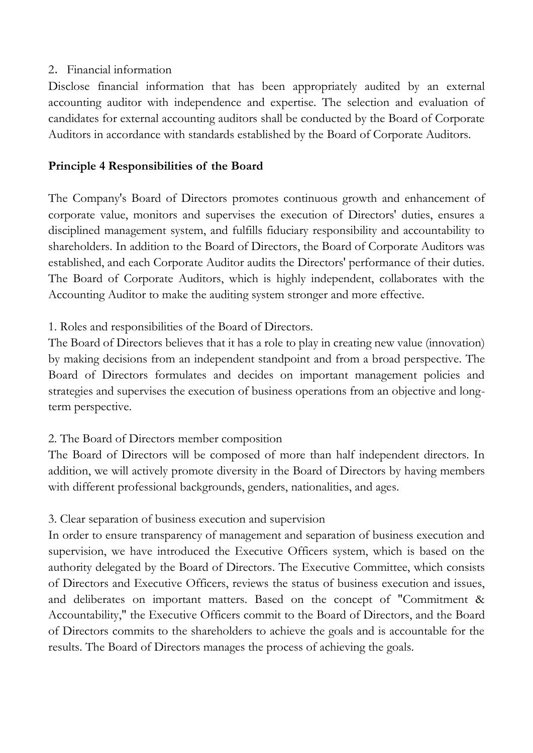#### 2.Financial information

Disclose financial information that has been appropriately audited by an external accounting auditor with independence and expertise. The selection and evaluation of candidates for external accounting auditors shall be conducted by the Board of Corporate Auditors in accordance with standards established by the Board of Corporate Auditors.

## **Principle 4 Responsibilities of the Board**

The Company's Board of Directors promotes continuous growth and enhancement of corporate value, monitors and supervises the execution of Directors' duties, ensures a disciplined management system, and fulfills fiduciary responsibility and accountability to shareholders. In addition to the Board of Directors, the Board of Corporate Auditors was established, and each Corporate Auditor audits the Directors' performance of their duties. The Board of Corporate Auditors, which is highly independent, collaborates with the Accounting Auditor to make the auditing system stronger and more effective.

## 1. Roles and responsibilities of the Board of Directors.

The Board of Directors believes that it has a role to play in creating new value (innovation) by making decisions from an independent standpoint and from a broad perspective. The Board of Directors formulates and decides on important management policies and strategies and supervises the execution of business operations from an objective and longterm perspective.

## 2. The Board of Directors member composition

The Board of Directors will be composed of more than half independent directors. In addition, we will actively promote diversity in the Board of Directors by having members with different professional backgrounds, genders, nationalities, and ages.

## 3. Clear separation of business execution and supervision

In order to ensure transparency of management and separation of business execution and supervision, we have introduced the Executive Officers system, which is based on the authority delegated by the Board of Directors. The Executive Committee, which consists of Directors and Executive Officers, reviews the status of business execution and issues, and deliberates on important matters. Based on the concept of "Commitment & Accountability," the Executive Officers commit to the Board of Directors, and the Board of Directors commits to the shareholders to achieve the goals and is accountable for the results. The Board of Directors manages the process of achieving the goals.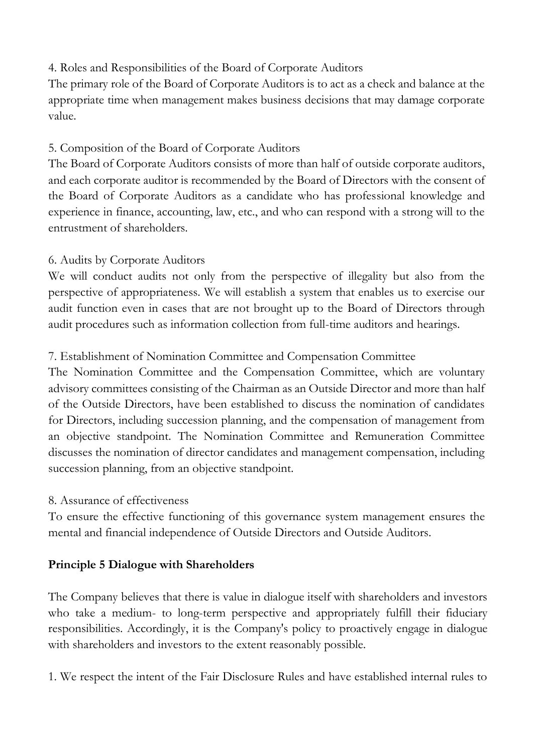# 4. Roles and Responsibilities of the Board of Corporate Auditors

The primary role of the Board of Corporate Auditors is to act as a check and balance at the appropriate time when management makes business decisions that may damage corporate value.

# 5. Composition of the Board of Corporate Auditors

The Board of Corporate Auditors consists of more than half of outside corporate auditors, and each corporate auditor is recommended by the Board of Directors with the consent of the Board of Corporate Auditors as a candidate who has professional knowledge and experience in finance, accounting, law, etc., and who can respond with a strong will to the entrustment of shareholders.

# 6. Audits by Corporate Auditors

We will conduct audits not only from the perspective of illegality but also from the perspective of appropriateness. We will establish a system that enables us to exercise our audit function even in cases that are not brought up to the Board of Directors through audit procedures such as information collection from full-time auditors and hearings.

# 7. Establishment of Nomination Committee and Compensation Committee

The Nomination Committee and the Compensation Committee, which are voluntary advisory committees consisting of the Chairman as an Outside Director and more than half of the Outside Directors, have been established to discuss the nomination of candidates for Directors, including succession planning, and the compensation of management from an objective standpoint. The Nomination Committee and Remuneration Committee discusses the nomination of director candidates and management compensation, including succession planning, from an objective standpoint.

## 8. Assurance of effectiveness

To ensure the effective functioning of this governance system management ensures the mental and financial independence of Outside Directors and Outside Auditors.

## **Principle 5 Dialogue with Shareholders**

The Company believes that there is value in dialogue itself with shareholders and investors who take a medium- to long-term perspective and appropriately fulfill their fiduciary responsibilities. Accordingly, it is the Company's policy to proactively engage in dialogue with shareholders and investors to the extent reasonably possible.

1. We respect the intent of the Fair Disclosure Rules and have established internal rules to